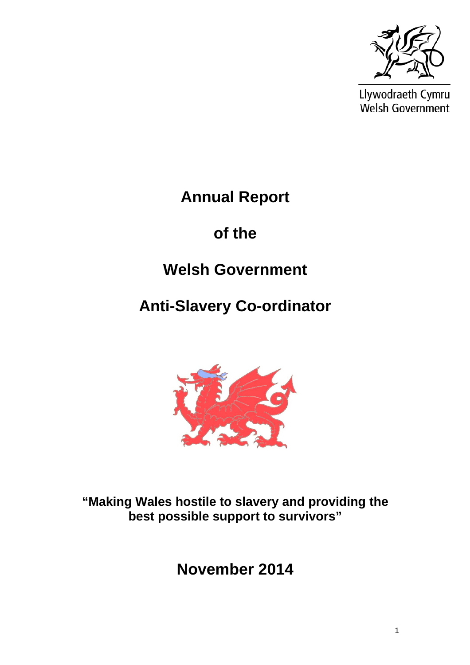

Llywodraeth Cymru Welsh Government

**Annual Report** 

**of the** 

# **Welsh Government**

**Anti-Slavery Co-ordinator** 



**"Making Wales hostile to slavery and providing the best possible support to survivors"** 

**November 2014**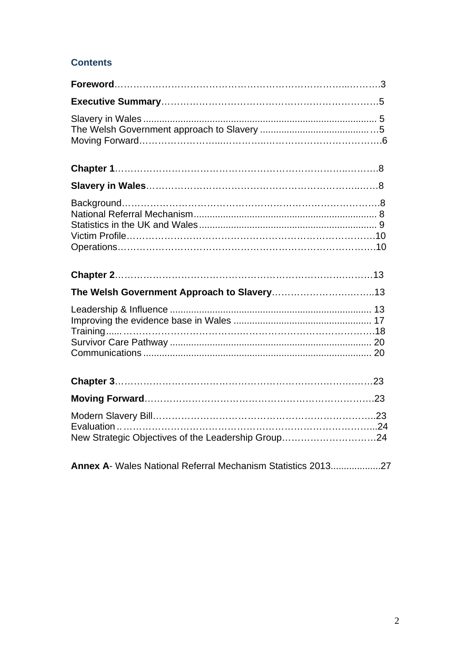### **Contents**

| New Strategic Objectives of the Leadership Group24 |
|----------------------------------------------------|

**Annex A**[- Wales National Referral Mechanism Statistics 2013...................27](#page-26-0)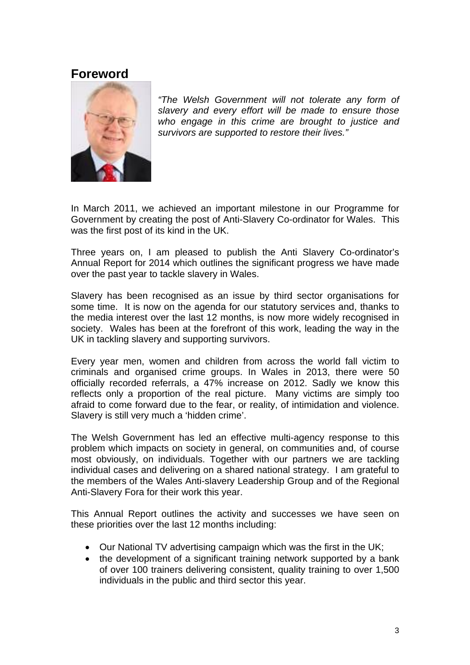### <span id="page-2-0"></span>**Foreword**



*"The Welsh Government will not tolerate any form of slavery and every effort will be made to ensure those who engage in this crime are brought to justice and survivors are supported to restore their lives."* 

In March 2011, we achieved an important milestone in our Programme for Government by creating the post of Anti-Slavery Co-ordinator for Wales. This was the first post of its kind in the UK.

Three years on, I am pleased to publish the Anti Slavery Co-ordinator's Annual Report for 2014 which outlines the significant progress we have made over the past year to tackle slavery in Wales.

Slavery has been recognised as an issue by third sector organisations for some time. It is now on the agenda for our statutory services and, thanks to the media interest over the last 12 months, is now more widely recognised in society. Wales has been at the forefront of this work, leading the way in the UK in tackling slavery and supporting survivors.

Every year men, women and children from across the world fall victim to criminals and organised crime groups. In Wales in 2013, there were 50 officially recorded referrals, a 47% increase on 2012. Sadly we know this reflects only a proportion of the real picture. Many victims are simply too afraid to come forward due to the fear, or reality, of intimidation and violence. Slavery is still very much a 'hidden crime'.

The Welsh Government has led an effective multi-agency response to this problem which impacts on society in general, on communities and, of course most obviously, on individuals. Together with our partners we are tackling individual cases and delivering on a shared national strategy. I am grateful to the members of the Wales Anti-slavery Leadership Group and of the Regional Anti-Slavery Fora for their work this year.

This Annual Report outlines the activity and successes we have seen on these priorities over the last 12 months including:

- Our National TV advertising campaign which was the first in the UK;
- the development of a significant training network supported by a bank of over 100 trainers delivering consistent, quality training to over 1,500 individuals in the public and third sector this year.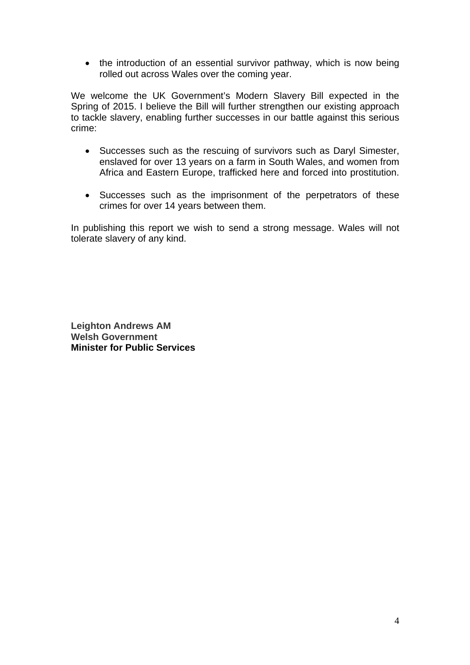• the introduction of an essential survivor pathway, which is now being rolled out across Wales over the coming year.

We welcome the UK Government's Modern Slavery Bill expected in the Spring of 2015. I believe the Bill will further strengthen our existing approach to tackle slavery, enabling further successes in our battle against this serious crime:

- Successes such as the rescuing of survivors such as Daryl Simester, enslaved for over 13 years on a farm in South Wales, and women from Africa and Eastern Europe, trafficked here and forced into prostitution.
- Successes such as the imprisonment of the perpetrators of these crimes for over 14 years between them.

In publishing this report we wish to send a strong message. Wales will not tolerate slavery of any kind.

**Leighton Andrews AM Welsh Government Minister for Public Services**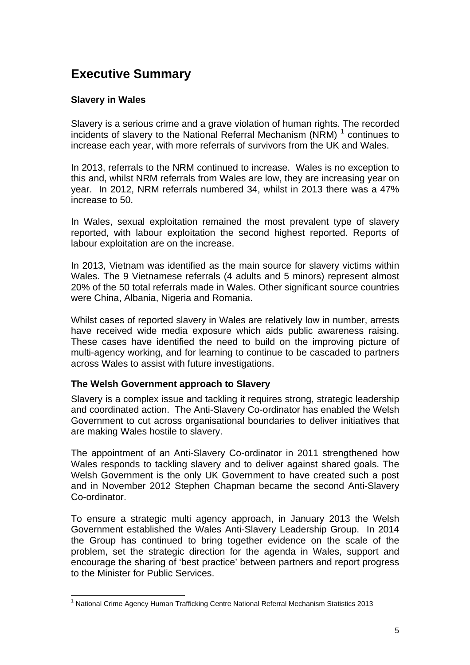# <span id="page-4-0"></span>**Executive Summary**

#### **Slavery in Wales**

Slavery is a serious crime and a grave violation of human rights. The recorded incidents of slavery to the National Referral Mechanism (NRM)  $1$  continues to increase each year, with more referrals of survivors from the UK and Wales.

In 2013, referrals to the NRM continued to increase. Wales is no exception to this and, whilst NRM referrals from Wales are low, they are increasing year on year. In 2012, NRM referrals numbered 34, whilst in 2013 there was a 47% increase to 50.

In Wales, sexual exploitation remained the most prevalent type of slavery reported, with labour exploitation the second highest reported. Reports of labour exploitation are on the increase.

In 2013, Vietnam was identified as the main source for slavery victims within Wales. The 9 Vietnamese referrals (4 adults and 5 minors) represent almost 20% of the 50 total referrals made in Wales. Other significant source countries were China, Albania, Nigeria and Romania.

Whilst cases of reported slavery in Wales are relatively low in number, arrests have received wide media exposure which aids public awareness raising. These cases have identified the need to build on the improving picture of multi-agency working, and for learning to continue to be cascaded to partners across Wales to assist with future investigations.

#### **The Welsh Government approach to Slavery**

Slavery is a complex issue and tackling it requires strong, strategic leadership and coordinated action. The Anti-Slavery Co-ordinator has enabled the Welsh Government to cut across organisational boundaries to deliver initiatives that are making Wales hostile to slavery.

The appointment of an Anti-Slavery Co-ordinator in 2011 strengthened how Wales responds to tackling slavery and to deliver against shared goals. The Welsh Government is the only UK Government to have created such a post and in November 2012 Stephen Chapman became the second Anti-Slavery Co-ordinator.

To ensure a strategic multi agency approach, in January 2013 the Welsh Government established the Wales Anti-Slavery Leadership Group. In 2014 the Group has continued to bring together evidence on the scale of the problem, set the strategic direction for the agenda in Wales, support and encourage the sharing of 'best practice' between partners and report progress to the Minister for Public Services.

<span id="page-4-1"></span> $\overline{a}$ <sup>1</sup> National Crime Agency Human Trafficking Centre National Referral Mechanism Statistics 2013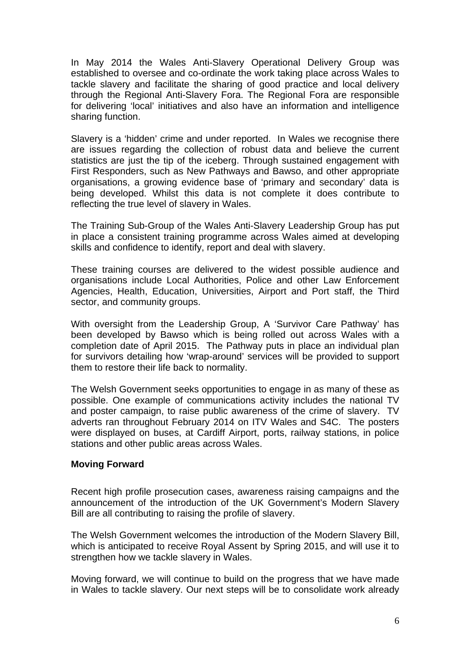<span id="page-5-0"></span>In May 2014 the Wales Anti-Slavery Operational Delivery Group was established to oversee and co-ordinate the work taking place across Wales to tackle slavery and facilitate the sharing of good practice and local delivery through the Regional Anti-Slavery Fora. The Regional Fora are responsible for delivering 'local' initiatives and also have an information and intelligence sharing function.

Slavery is a 'hidden' crime and under reported. In Wales we recognise there are issues regarding the collection of robust data and believe the current statistics are just the tip of the iceberg. Through sustained engagement with First Responders, such as New Pathways and Bawso, and other appropriate organisations, a growing evidence base of 'primary and secondary' data is being developed. Whilst this data is not complete it does contribute to reflecting the true level of slavery in Wales.

The Training Sub-Group of the Wales Anti-Slavery Leadership Group has put in place a consistent training programme across Wales aimed at developing skills and confidence to identify, report and deal with slavery.

These training courses are delivered to the widest possible audience and organisations include Local Authorities, Police and other Law Enforcement Agencies, Health, Education, Universities, Airport and Port staff, the Third sector, and community groups.

With oversight from the Leadership Group, A 'Survivor Care Pathway' has been developed by Bawso which is being rolled out across Wales with a completion date of April 2015. The Pathway puts in place an individual plan for survivors detailing how 'wrap-around' services will be provided to support them to restore their life back to normality.

The Welsh Government seeks opportunities to engage in as many of these as possible. One example of communications activity includes the national TV and poster campaign, to raise public awareness of the crime of slavery. TV adverts ran throughout February 2014 on ITV Wales and S4C. The posters were displayed on buses, at Cardiff Airport, ports, railway stations, in police stations and other public areas across Wales.

#### **Moving Forward**

Recent high profile prosecution cases, awareness raising campaigns and the announcement of the introduction of the UK Government's Modern Slavery Bill are all contributing to raising the profile of slavery.

The Welsh Government welcomes the introduction of the Modern Slavery Bill, which is anticipated to receive Royal Assent by Spring 2015, and will use it to strengthen how we tackle slavery in Wales.

Moving forward, we will continue to build on the progress that we have made in Wales to tackle slavery. Our next steps will be to consolidate work already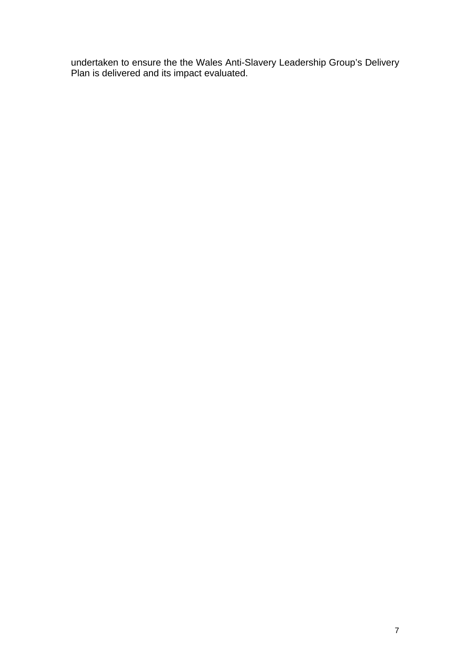undertaken to ensure the the Wales Anti-Slavery Leadership Group's Delivery Plan is delivered and its impact evaluated.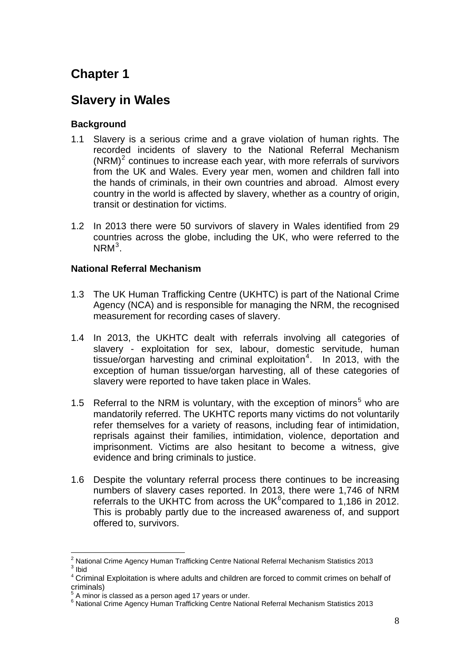# <span id="page-7-0"></span>**Chapter 1**

## **Slavery in Wales**

### **Background**

- 1.1 Slavery is a serious crime and a grave violation of human rights. The recorded incidents of slavery to the National Referral Mechanism  $(NRM)^2$  $(NRM)^2$  continues to increase each year, with more referrals of survivors from the UK and Wales. Every year men, women and children fall into the hands of criminals, in their own countries and abroad. Almost every country in the world is affected by slavery, whether as a country of origin, transit or destination for victims.
- 1.2 In 2013 there were 50 survivors of slavery in Wales identified from 29 countries across the globe, including the UK, who were referred to the  $N$ RM<sup>[3](#page-7-2)</sup>.

#### **National Referral Mechanism**

- 1.3 The UK Human Trafficking Centre (UKHTC) is part of the National Crime Agency (NCA) and is responsible for managing the NRM, the recognised measurement for recording cases of slavery.
- 1.4 In 2013, the UKHTC dealt with referrals involving all categories of slavery - exploitation for sex, labour, domestic servitude, human tissue/organ harvesting and criminal exploitation<sup>[4](#page-7-3)</sup>. In 2013, with the exception of human tissue/organ harvesting, all of these categories of slavery were reported to have taken place in Wales.
- 1.[5](#page-7-4) Referral to the NRM is voluntary, with the exception of minors<sup>5</sup> who are mandatorily referred. The UKHTC reports many victims do not voluntarily refer themselves for a variety of reasons, including fear of intimidation, reprisals against their families, intimidation, violence, deportation and imprisonment. Victims are also hesitant to become a witness, give evidence and bring criminals to justice.
- 1.6 Despite the voluntary referral process there continues to be increasing numbers of slavery cases reported. In 2013, there were 1,746 of NRM referrals to the UKHTC from across the UK $6$ compared to 1,186 in 2012. This is probably partly due to the increased awareness of, and support offered to, survivors.

<span id="page-7-1"></span> 2 National Crime Agency Human Trafficking Centre National Referral Mechanism Statistics 2013  $3$  Ibid

<span id="page-7-3"></span><span id="page-7-2"></span><sup>&</sup>lt;sup>4</sup> Criminal Exploitation is where adults and children are forced to commit crimes on behalf of criminals)

 $5$  A minor is classed as a person aged 17 years or under.

<span id="page-7-5"></span><span id="page-7-4"></span><sup>&</sup>lt;sup>6</sup> National Crime Agency Human Trafficking Centre National Referral Mechanism Statistics 2013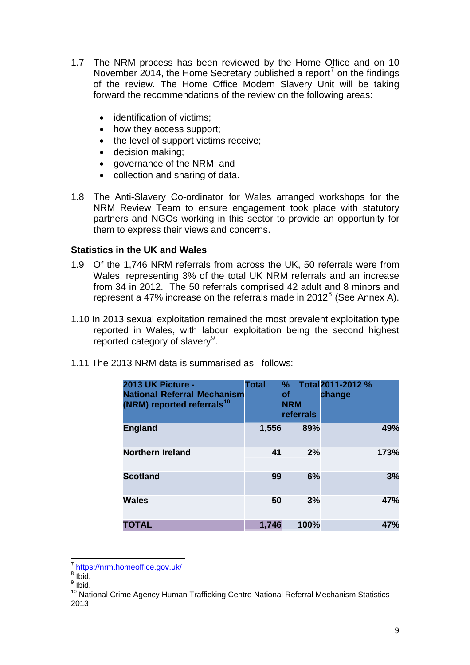- <span id="page-8-0"></span>1.7 The NRM process has been reviewed by the Home Office and on 10 November 2014, the Home Secretary published a report<sup>[7](#page-8-1)</sup> on the findings of the review. The Home Office Modern Slavery Unit will be taking forward the recommendations of the review on the following areas:
	- identification of victims:
	- how they access support:
	- the level of support victims receive;
	- decision making;
	- governance of the NRM: and
	- collection and sharing of data.
- 1.8 The Anti-Slavery Co-ordinator for Wales arranged workshops for the NRM Review Team to ensure engagement took place with statutory partners and NGOs working in this sector to provide an opportunity for them to express their views and concerns.

#### **Statistics in the UK and Wales**

- 1.9 Of the 1,746 NRM referrals from across the UK, 50 referrals were from Wales, representing 3% of the total UK NRM referrals and an increase from 34 in 2012. The 50 referrals comprised 42 adult and 8 minors and represent a 47% increase on the referrals made in 2012 $^8$  $^8$  (See Annex A).
- 1.10 In 2013 sexual exploitation remained the most prevalent exploitation type reported in Wales, with labour exploitation being the second highest reported category of slavery<sup>[9](#page-8-3)</sup>.

| 1.11 The 2013 NRM data is summarised as follows: |  |  |
|--------------------------------------------------|--|--|
|--------------------------------------------------|--|--|

| 2013 UK Picture -<br><b>National Referral Mechanism</b><br>(NRM) reported referrals <sup>10</sup> | <b>Total</b> | $\%$<br>of<br><b>NRM</b><br>referrals | Total 2011-2012 %<br>change |      |
|---------------------------------------------------------------------------------------------------|--------------|---------------------------------------|-----------------------------|------|
| <b>England</b>                                                                                    | 1,556        | 89%                                   |                             | 49%  |
| <b>Northern Ireland</b>                                                                           | 41           | 2%                                    |                             | 173% |
| <b>Scotland</b>                                                                                   | 99           | 6%                                    |                             | 3%   |
| <b>Wales</b>                                                                                      | 50           | 3%                                    |                             | 47%  |
| TOTAL                                                                                             | 1,746        | 100%                                  |                             | 47%  |

 $\overline{a}$ <sup>7</sup> <https://nrm.homeoffice.gov.uk/><br><sup>8</sup> lbid

<span id="page-8-2"></span><span id="page-8-1"></span> $8 \overline{\text{Ibid.}}$ 

<sup>&</sup>lt;sup>9</sup> Ibid.

<span id="page-8-4"></span><span id="page-8-3"></span><sup>&</sup>lt;sup>10</sup> National Crime Agency Human Trafficking Centre National Referral Mechanism Statistics 2013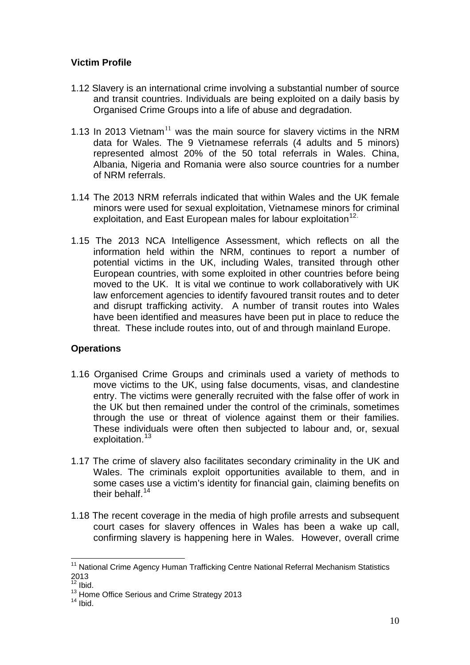#### <span id="page-9-0"></span>**Victim Profile**

- 1.12 Slavery is an international crime involving a substantial number of source and transit countries. Individuals are being exploited on a daily basis by Organised Crime Groups into a life of abuse and degradation.
- 1.13 In 2013 Vietnam<sup>[11](#page-9-1)</sup> was the main source for slavery victims in the NRM data for Wales. The 9 Vietnamese referrals (4 adults and 5 minors) represented almost 20% of the 50 total referrals in Wales. China, Albania, Nigeria and Romania were also source countries for a number of NRM referrals.
- 1.14 The 2013 NRM referrals indicated that within Wales and the UK female minors were used for sexual exploitation, Vietnamese minors for criminal exploitation, and East European males for labour exploitation<sup>[12](#page-9-2).</sup>
- 1.15 The 2013 NCA Intelligence Assessment, which reflects on all the information held within the NRM, continues to report a number of potential victims in the UK, including Wales, transited through other European countries, with some exploited in other countries before being moved to the UK. It is vital we continue to work collaboratively with UK law enforcement agencies to identify favoured transit routes and to deter and disrupt trafficking activity. A number of transit routes into Wales have been identified and measures have been put in place to reduce the threat. These include routes into, out of and through mainland Europe.

#### **Operations**

- 1.16 Organised Crime Groups and criminals used a variety of methods to move victims to the UK, using false documents, visas, and clandestine entry. The victims were generally recruited with the false offer of work in the UK but then remained under the control of the criminals, sometimes through the use or threat of violence against them or their families. These individuals were often then subjected to labour and, or, sexual exploitation.<sup>[13](#page-9-3)</sup>
- 1.17 The crime of slavery also facilitates secondary criminality in the UK and Wales. The criminals exploit opportunities available to them, and in some cases use a victim's identity for financial gain, claiming benefits on their behalf.<sup>[14](#page-9-4)</sup>
- 1.18 The recent coverage in the media of high profile arrests and subsequent court cases for slavery offences in Wales has been a wake up call, confirming slavery is happening here in Wales. However, overall crime

 $\overline{a}$ 

<span id="page-9-1"></span><sup>&</sup>lt;sup>11</sup> National Crime Agency Human Trafficking Centre National Referral Mechanism Statistics 2013

<span id="page-9-2"></span> $12$  Ibid.

<span id="page-9-4"></span><span id="page-9-3"></span><sup>&</sup>lt;sup>13</sup> Home Office Serious and Crime Strategy 2013<br><sup>14</sup> Ibid.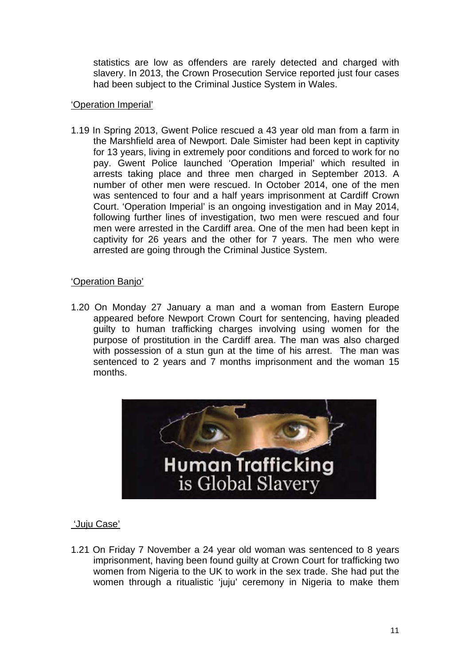statistics are low as offenders are rarely detected and charged with slavery. In 2013, the Crown Prosecution Service reported just four cases had been subject to the Criminal Justice System in Wales.

#### 'Operation Imperial'

1.19 In Spring 2013, Gwent Police rescued a 43 year old man from a farm in the Marshfield area of Newport. Dale Simister had been kept in captivity for 13 years, living in extremely poor conditions and forced to work for no pay. Gwent Police launched 'Operation Imperial' which resulted in arrests taking place and three men charged in September 2013. A number of other men were rescued. In October 2014, one of the men was sentenced to four and a half years imprisonment at Cardiff Crown Court. 'Operation Imperial' is an ongoing investigation and in May 2014, following further lines of investigation, two men were rescued and four men were arrested in the Cardiff area. One of the men had been kept in captivity for 26 years and the other for 7 years. The men who were arrested are going through the Criminal Justice System.

#### 'Operation Banjo'

1.20 On Monday 27 January a man and a woman from Eastern Europe appeared before Newport Crown Court for sentencing, having pleaded guilty to human trafficking charges involving using women for the purpose of prostitution in the Cardiff area. The man was also charged with possession of a stun gun at the time of his arrest. The man was sentenced to 2 years and 7 months imprisonment and the woman 15 months.



#### 'Juju Case'

1.21 On Friday 7 November a 24 year old woman was sentenced to 8 years imprisonment, having been found guilty at Crown Court for trafficking two women from Nigeria to the UK to work in the sex trade. She had put the women through a ritualistic 'juju' ceremony in Nigeria to make them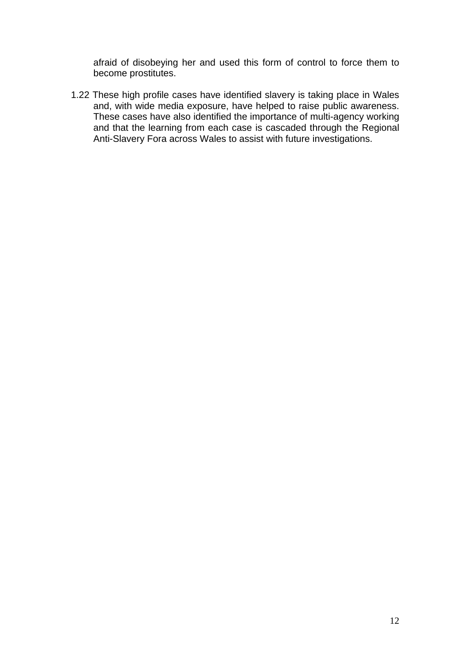afraid of disobeying her and used this form of control to force them to become prostitutes.

1.22 These high profile cases have identified slavery is taking place in Wales and, with wide media exposure, have helped to raise public awareness. These cases have also identified the importance of multi-agency working and that the learning from each case is cascaded through the Regional Anti-Slavery Fora across Wales to assist with future investigations.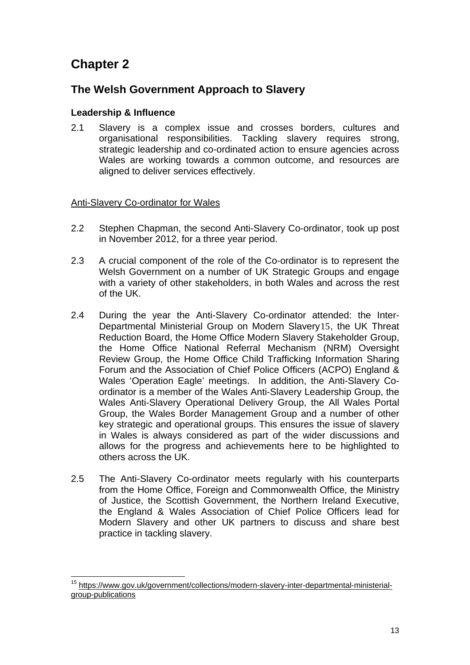# <span id="page-12-0"></span>**Chapter 2**

 $\overline{a}$ 

### **The Welsh Government Approach to Slavery**

#### **Leadership & Influence**

2.1 Slavery is a complex issue and crosses borders, cultures and organisational responsibilities. Tackling slavery requires strong, strategic leadership and co-ordinated action to ensure agencies across Wales are working towards a common outcome, and resources are aligned to deliver services effectively.

#### Anti-Slavery Co-ordinator for Wales

- 2.2 Stephen Chapman, the second Anti-Slavery Co-ordinator, took up post in November 2012, for a three year period.
- 2.3 A crucial component of the role of the Co-ordinator is to represent the Welsh Government on a number of UK Strategic Groups and engage with a variety of other stakeholders, in both Wales and across the rest of the UK.
- 2.4 During the year the Anti-Slavery Co-ordinator attended: the Inter-Departmental Ministerial Group on Modern Slavery[15](#page-12-1), the UK Threat Reduction Board, the Home Office Modern Slavery Stakeholder Group, the Home Office National Referral Mechanism (NRM) Oversight Review Group, the Home Office Child Trafficking Information Sharing Forum and the Association of Chief Police Officers (ACPO) England & Wales 'Operation Eagle' meetings. In addition, the Anti-Slavery Coordinator is a member of the Wales Anti-Slavery Leadership Group, the Wales Anti-Slavery Operational Delivery Group, the All Wales Portal Group, the Wales Border Management Group and a number of other key strategic and operational groups. This ensures the issue of slavery in Wales is always considered as part of the wider discussions and allows for the progress and achievements here to be highlighted to others across the UK.
- 2.5 The Anti-Slavery Co-ordinator meets regularly with his counterparts from the Home Office, Foreign and Commonwealth Office, the Ministry of Justice, the Scottish Government, the Northern Ireland Executive, the England & Wales Association of Chief Police Officers lead for Modern Slavery and other UK partners to discuss and share best practice in tackling slavery.

<span id="page-12-1"></span><sup>15</sup> [https://www.gov.uk/government/collections/modern-slavery-inter-departmental-ministerial](https://www.gov.uk/government/collections/modern-slavery-inter-departmental-ministerial-group-publications)[group-publications](https://www.gov.uk/government/collections/modern-slavery-inter-departmental-ministerial-group-publications)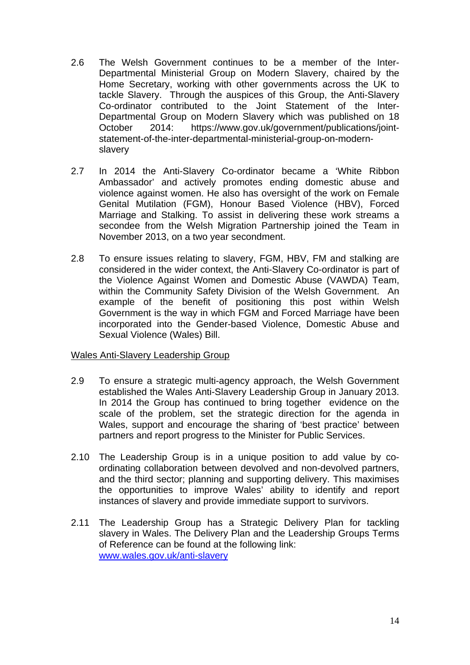- 2.6 The Welsh Government continues to be a member of the Inter-Departmental Ministerial Group on Modern Slavery, chaired by the Home Secretary, working with other governments across the UK to tackle Slavery. Through the auspices of this Group, the Anti-Slavery Co-ordinator contributed to the Joint Statement of the Inter-Departmental Group on Modern Slavery which was published on 18 October 2014: [https://www.gov.uk/government/publications/joint](https://www.gov.uk/government/publications/joint-statement-of-the-inter-departmental-ministerial-group-on-modern-slavery)[statement-of-the-inter-departmental-ministerial-group-on-modern](https://www.gov.uk/government/publications/joint-statement-of-the-inter-departmental-ministerial-group-on-modern-slavery)[slavery](https://www.gov.uk/government/publications/joint-statement-of-the-inter-departmental-ministerial-group-on-modern-slavery)
- 2.7 In 2014 the Anti-Slavery Co-ordinator became a 'White Ribbon Ambassador' and actively promotes ending domestic abuse and violence against women. He also has oversight of the work on Female Genital Mutilation (FGM), Honour Based Violence (HBV), Forced Marriage and Stalking. To assist in delivering these work streams a secondee from the Welsh Migration Partnership joined the Team in November 2013, on a two year secondment.
- 2.8 To ensure issues relating to slavery, FGM, HBV, FM and stalking are considered in the wider context, the Anti-Slavery Co-ordinator is part of the Violence Against Women and Domestic Abuse (VAWDA) Team, within the Community Safety Division of the Welsh Government. An example of the benefit of positioning this post within Welsh Government is the way in which FGM and Forced Marriage have been incorporated into the Gender-based Violence, Domestic Abuse and Sexual Violence (Wales) Bill.

#### Wales Anti-Slavery Leadership Group

- 2.9 To ensure a strategic multi-agency approach, the Welsh Government established the Wales Anti-Slavery Leadership Group in January 2013. In 2014 the Group has continued to bring together evidence on the scale of the problem, set the strategic direction for the agenda in Wales, support and encourage the sharing of 'best practice' between partners and report progress to the Minister for Public Services.
- 2.10 The Leadership Group is in a unique position to add value by coordinating collaboration between devolved and non-devolved partners, and the third sector; planning and supporting delivery. This maximises the opportunities to improve Wales' ability to identify and report instances of slavery and provide immediate support to survivors.
- 2.11 The Leadership Group has a Strategic Delivery Plan for tackling slavery in Wales. The Delivery Plan and the Leadership Groups Terms of Reference can be found at the following link: [www.wales.gov.uk/anti-slavery](http://www.wales.gov.uk/anti-slavery)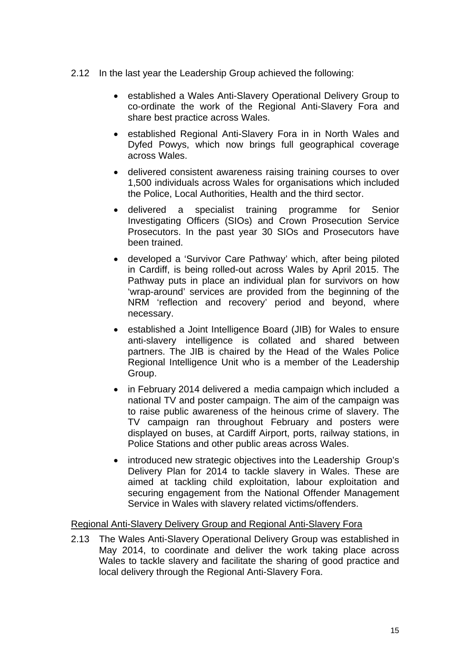- 2.12 In the last year the Leadership Group achieved the following:
	- established a Wales Anti-Slavery Operational Delivery Group to co-ordinate the work of the Regional Anti-Slavery Fora and share best practice across Wales.
	- established Regional Anti-Slavery Fora in in North Wales and Dyfed Powys, which now brings full geographical coverage across Wales.
	- delivered consistent awareness raising training courses to over 1,500 individuals across Wales for organisations which included the Police, Local Authorities, Health and the third sector.
	- delivered a specialist training programme for Senior Investigating Officers (SIOs) and Crown Prosecution Service Prosecutors. In the past year 30 SIOs and Prosecutors have been trained.
	- developed a 'Survivor Care Pathway' which, after being piloted in Cardiff, is being rolled-out across Wales by April 2015. The Pathway puts in place an individual plan for survivors on how 'wrap-around' services are provided from the beginning of the NRM 'reflection and recovery' period and beyond, where necessary.
	- established a Joint Intelligence Board (JIB) for Wales to ensure anti-slavery intelligence is collated and shared between partners. The JIB is chaired by the Head of the Wales Police Regional Intelligence Unit who is a member of the Leadership Group.
	- in February 2014 delivered a media campaign which included a national TV and poster campaign. The aim of the campaign was to raise public awareness of the heinous crime of slavery. The TV campaign ran throughout February and posters were displayed on buses, at Cardiff Airport, ports, railway stations, in Police Stations and other public areas across Wales.
	- introduced new strategic objectives into the Leadership Group's Delivery Plan for 2014 to tackle slavery in Wales. These are aimed at tackling child exploitation, labour exploitation and securing engagement from the National Offender Management Service in Wales with slavery related victims/offenders.

#### Regional Anti-Slavery Delivery Group and Regional Anti-Slavery Fora

2.13 The Wales Anti-Slavery Operational Delivery Group was established in May 2014, to coordinate and deliver the work taking place across Wales to tackle slavery and facilitate the sharing of good practice and local delivery through the Regional Anti-Slavery Fora.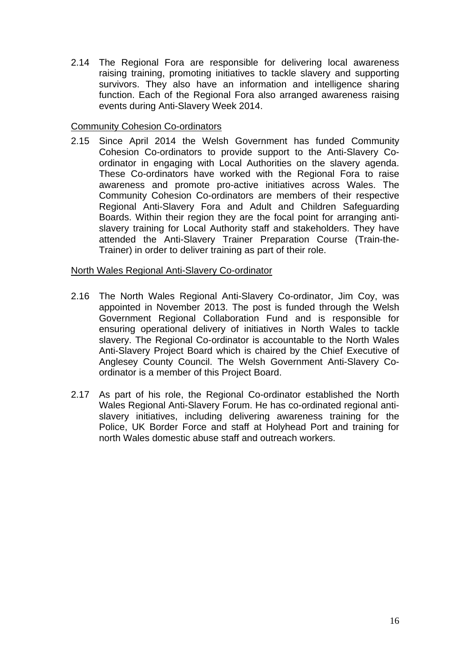2.14 The Regional Fora are responsible for delivering local awareness raising training, promoting initiatives to tackle slavery and supporting survivors. They also have an information and intelligence sharing function. Each of the Regional Fora also arranged awareness raising events during Anti-Slavery Week 2014.

#### Community Cohesion Co-ordinators

2.15 Since April 2014 the Welsh Government has funded Community Cohesion Co-ordinators to provide support to the Anti-Slavery Coordinator in engaging with Local Authorities on the slavery agenda. These Co-ordinators have worked with the Regional Fora to raise awareness and promote pro-active initiatives across Wales. The Community Cohesion Co-ordinators are members of their respective Regional Anti-Slavery Fora and Adult and Children Safeguarding Boards. Within their region they are the focal point for arranging antislavery training for Local Authority staff and stakeholders. They have attended the Anti-Slavery Trainer Preparation Course (Train-the-Trainer) in order to deliver training as part of their role.

#### North Wales Regional Anti-Slavery Co-ordinator

- 2.16 The North Wales Regional Anti-Slavery Co-ordinator, Jim Coy, was appointed in November 2013. The post is funded through the Welsh Government Regional Collaboration Fund and is responsible for ensuring operational delivery of initiatives in North Wales to tackle slavery. The Regional Co-ordinator is accountable to the North Wales Anti-Slavery Project Board which is chaired by the Chief Executive of Anglesey County Council. The Welsh Government Anti-Slavery Coordinator is a member of this Project Board.
- 2.17 As part of his role, the Regional Co-ordinator established the North Wales Regional Anti-Slavery Forum. He has co-ordinated regional antislavery initiatives, including delivering awareness training for the Police, UK Border Force and staff at Holyhead Port and training for north Wales domestic abuse staff and outreach workers.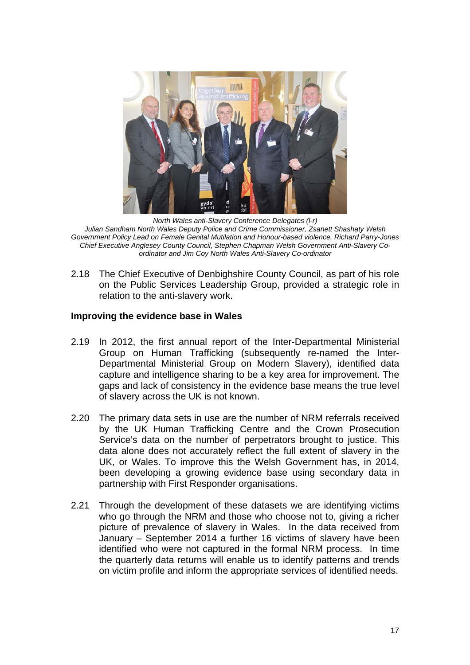<span id="page-16-0"></span>

*North Wales anti-Slavery Conference Delegates (l-r) Julian Sandham North Wales Deputy Police and Crime Commissioner, Zsanett Shashaty Welsh Government Policy Lead on Female Genital Mutilation and Honour-based violence, Richard Parry-Jones Chief Executive Anglesey County Council, Stephen Chapman Welsh Government Anti-Slavery Coordinator and Jim Coy North Wales Anti-Slavery Co-ordinator* 

2.18 The Chief Executive of Denbighshire County Council, as part of his role on the Public Services Leadership Group, provided a strategic role in relation to the anti-slavery work.

#### **Improving the evidence base in Wales**

- 2.19 In 2012, the first annual report of the Inter-Departmental Ministerial Group on Human Trafficking (subsequently re-named the Inter-Departmental Ministerial Group on Modern Slavery), identified data capture and intelligence sharing to be a key area for improvement. The gaps and lack of consistency in the evidence base means the true level of slavery across the UK is not known.
- 2.20 The primary data sets in use are the number of NRM referrals received by the UK Human Trafficking Centre and the Crown Prosecution Service's data on the number of perpetrators brought to justice. This data alone does not accurately reflect the full extent of slavery in the UK, or Wales. To improve this the Welsh Government has, in 2014, been developing a growing evidence base using secondary data in partnership with First Responder organisations.
- 2.21 Through the development of these datasets we are identifying victims who go through the NRM and those who choose not to, giving a richer picture of prevalence of slavery in Wales. In the data received from January – September 2014 a further 16 victims of slavery have been identified who were not captured in the formal NRM process. In time the quarterly data returns will enable us to identify patterns and trends on victim profile and inform the appropriate services of identified needs.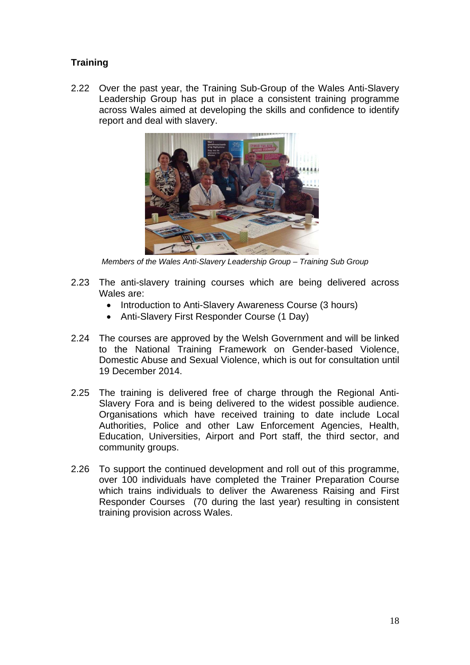### <span id="page-17-0"></span>**Training**

2.22 Over the past year, the Training Sub-Group of the Wales Anti-Slavery Leadership Group has put in place a consistent training programme across Wales aimed at developing the skills and confidence to identify report and deal with slavery.



*Members of the Wales Anti-Slavery Leadership Group – Training Sub Group* 

- 2.23 The anti-slavery training courses which are being delivered across Wales are:
	- Introduction to Anti-Slavery Awareness Course (3 hours)
	- Anti-Slavery First Responder Course (1 Day)
- 2.24 The courses are approved by the Welsh Government and will be linked to the National Training Framework on Gender-based Violence, Domestic Abuse and Sexual Violence, which is out for consultation until 19 December 2014.
- 2.25 The training is delivered free of charge through the Regional Anti-Slavery Fora and is being delivered to the widest possible audience. Organisations which have received training to date include Local Authorities, Police and other Law Enforcement Agencies, Health, Education, Universities, Airport and Port staff, the third sector, and community groups.
- 2.26 To support the continued development and roll out of this programme, over 100 individuals have completed the Trainer Preparation Course which trains individuals to deliver the Awareness Raising and First Responder Courses (70 during the last year) resulting in consistent training provision across Wales.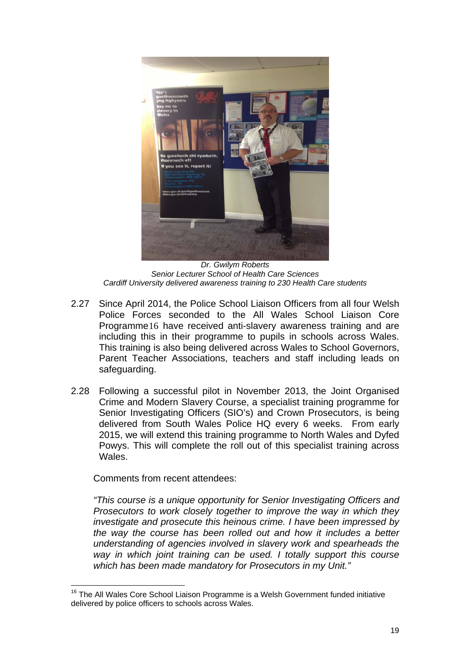

*Dr. Gwilym Roberts Senior Lecturer School of Health Care Sciences Cardiff University delivered awareness training to 230 Health Care students* 

- 2.27 Since April 2014, the Police School Liaison Officers from all four Welsh Police Forces seconded to the All Wales School Liaison Core Programme[16](#page-18-0) have received anti-slavery awareness training and are including this in their programme to pupils in schools across Wales. This training is also being delivered across Wales to School Governors, Parent Teacher Associations, teachers and staff including leads on safeguarding.
- 2.28 Following a successful pilot in November 2013, the Joint Organised Crime and Modern Slavery Course, a specialist training programme for Senior Investigating Officers (SIO's) and Crown Prosecutors, is being delivered from South Wales Police HQ every 6 weeks. From early 2015, we will extend this training programme to North Wales and Dyfed Powys. This will complete the roll out of this specialist training across **Wales**

Comments from recent attendees:

*"This course is a unique opportunity for Senior Investigating Officers and Prosecutors to work closely together to improve the way in which they investigate and prosecute this heinous crime. I have been impressed by the way the course has been rolled out and how it includes a better understanding of agencies involved in slavery work and spearheads the way in which joint training can be used. I totally support this course which has been made mandatory for Prosecutors in my Unit."* 

<span id="page-18-0"></span> $\overline{a}$ <sup>16</sup> The All Wales Core School Liaison Programme is a Welsh Government funded initiative delivered by police officers to schools across Wales.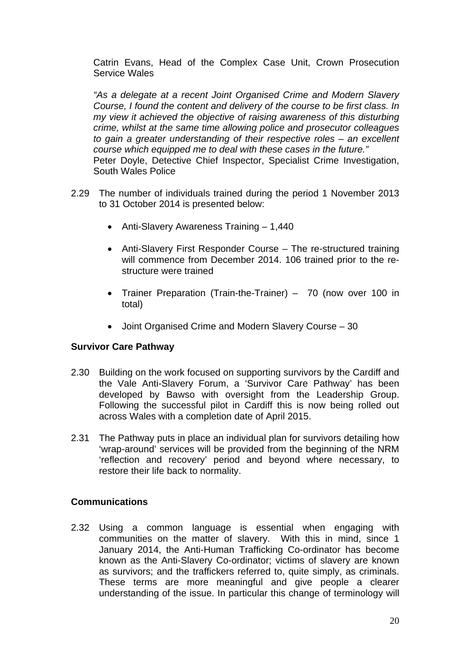<span id="page-19-0"></span>Catrin Evans, Head of the Complex Case Unit, Crown Prosecution Service Wales

*"As a delegate at a recent Joint Organised Crime and Modern Slavery Course, I found the content and delivery of the course to be first class. In my view it achieved the objective of raising awareness of this disturbing crime, whilst at the same time allowing police and prosecutor colleagues to gain a greater understanding of their respective roles – an excellent course which equipped me to deal with these cases in the future."*  Peter Doyle, Detective Chief Inspector, Specialist Crime Investigation, South Wales Police

- 2.29 The number of individuals trained during the period 1 November 2013 to 31 October 2014 is presented below:
	- Anti-Slavery Awareness Training 1,440
	- Anti-Slavery First Responder Course The re-structured training will commence from December 2014. 106 trained prior to the restructure were trained
	- Trainer Preparation (Train-the-Trainer) 70 (now over 100 in total)
	- Joint Organised Crime and Modern Slavery Course 30

#### **Survivor Care Pathway**

- 2.30 Building on the work focused on supporting survivors by the Cardiff and the Vale Anti-Slavery Forum, a 'Survivor Care Pathway' has been developed by Bawso with oversight from the Leadership Group. Following the successful pilot in Cardiff this is now being rolled out across Wales with a completion date of April 2015.
- 2.31 The Pathway puts in place an individual plan for survivors detailing how 'wrap-around' services will be provided from the beginning of the NRM 'reflection and recovery' period and beyond where necessary, to restore their life back to normality.

#### **Communications**

2.32 Using a common language is essential when engaging with communities on the matter of slavery. With this in mind, since 1 January 2014, the Anti-Human Trafficking Co-ordinator has become known as the Anti-Slavery Co-ordinator; victims of slavery are known as survivors; and the traffickers referred to, quite simply, as criminals. These terms are more meaningful and give people a clearer understanding of the issue. In particular this change of terminology will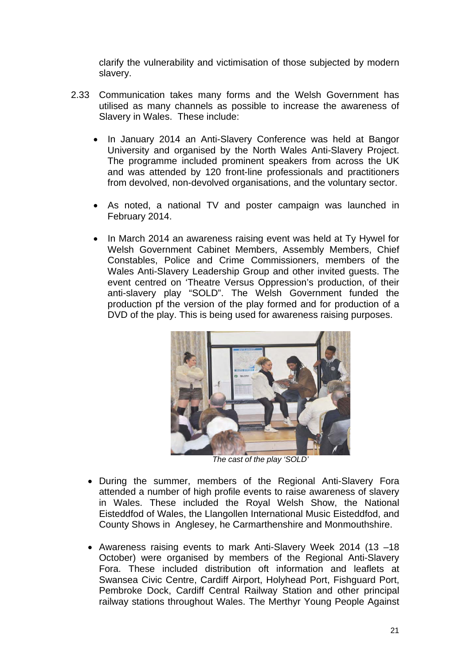clarify the vulnerability and victimisation of those subjected by modern slavery.

- 2.33 Communication takes many forms and the Welsh Government has utilised as many channels as possible to increase the awareness of Slavery in Wales. These include:
	- In January 2014 an Anti-Slavery Conference was held at Bangor University and organised by the North Wales Anti-Slavery Project. The programme included prominent speakers from across the UK and was attended by 120 front-line professionals and practitioners from devolved, non-devolved organisations, and the voluntary sector.
	- As noted, a national TV and poster campaign was launched in February 2014.
	- In March 2014 an awareness raising event was held at Ty Hywel for Welsh Government Cabinet Members, Assembly Members, Chief Constables, Police and Crime Commissioners, members of the Wales Anti-Slavery Leadership Group and other invited guests. The event centred on 'Theatre Versus Oppression's production, of their anti-slavery play "SOLD". The Welsh Government funded the production pf the version of the play formed and for production of a DVD of the play. This is being used for awareness raising purposes.



*The cast of the play 'SOLD'* 

- During the summer, members of the Regional Anti-Slavery Fora attended a number of high profile events to raise awareness of slavery in Wales. These included the Royal Welsh Show, the National Eisteddfod of Wales, the Llangollen International Music Eisteddfod, and County Shows in Anglesey, he Carmarthenshire and Monmouthshire.
- Awareness raising events to mark Anti-Slavery Week 2014 (13 –18 October) were organised by members of the Regional Anti-Slavery Fora. These included distribution oft information and leaflets at Swansea Civic Centre, Cardiff Airport, Holyhead Port, Fishguard Port, Pembroke Dock, Cardiff Central Railway Station and other principal railway stations throughout Wales. The Merthyr Young People Against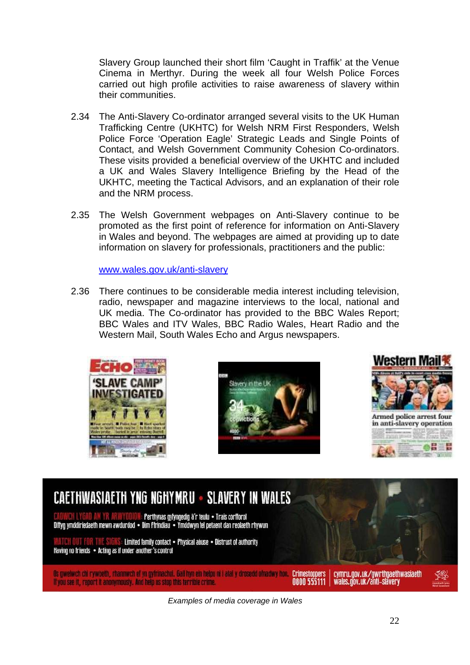Slavery Group launched their short film 'Caught in Traffik' at the Venue Cinema in Merthyr. During the week all four Welsh Police Forces carried out high profile activities to raise awareness of slavery within their communities.

- 2.34 The Anti-Slavery Co-ordinator arranged several visits to the UK Human Trafficking Centre (UKHTC) for Welsh NRM First Responders, Welsh Police Force 'Operation Eagle' Strategic Leads and Single Points of Contact, and Welsh Government Community Cohesion Co-ordinators. These visits provided a beneficial overview of the UKHTC and included a UK and Wales Slavery Intelligence Briefing by the Head of the UKHTC, meeting the Tactical Advisors, and an explanation of their role and the NRM process.
- 2.35 The Welsh Government webpages on Anti-Slavery continue to be promoted as the first point of reference for information on Anti-Slavery in Wales and beyond. The webpages are aimed at providing up to date information on slavery for professionals, practitioners and the public:

[www.wales.gov.uk/anti-slavery](http://www.wales.gov.uk/anti-slavery)

2.36 There continues to be considerable media interest including television, radio, newspaper and magazine interviews to the local, national and UK media. The Co-ordinator has provided to the BBC Wales Report; BBC Wales and ITV Wales, BBC Radio Wales, Heart Radio and the Western Mail, South Wales Echo and Argus newspapers.







# CAETHWASIAETH YNG NGHYMRU - SLAVERY IN WALES

Perthynas gyfyngedig â'r teulu · Trais corfforol Diffyg ymddiriedaeth mewn awdurdod • Dim Ffrindiau • Ymddwyn fel petaent dan reolaeth rhywun

Limited family contact . Physical abuse . Distrust of authority Having no friends . Acting as if under another's control

Os gwelwch chi rywbeth, rhannwch ef yn gyfrinachol. Gall hyn ein helpu ni i atal y drosedd ofnadwy hon. Crimestoppers | cymru.gov.uk/gwrthgaethwasiaeth<br>If you see it, report it anonymously. And help us stop this terrible c

*Examples of media coverage in Wales*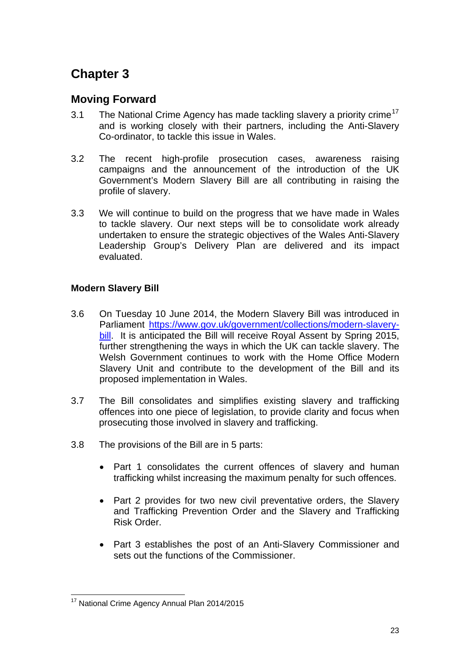# <span id="page-22-0"></span>**Chapter 3**

### **Moving Forward**

- 3.1 The National Crime Agency has made tackling slavery a priority crime<sup>[17](#page-22-1)</sup> and is working closely with their partners, including the Anti-Slavery Co-ordinator, to tackle this issue in Wales.
- 3.2 The recent high-profile prosecution cases, awareness raising campaigns and the announcement of the introduction of the UK Government's Modern Slavery Bill are all contributing in raising the profile of slavery.
- 3.3 We will continue to build on the progress that we have made in Wales to tackle slavery. Our next steps will be to consolidate work already undertaken to ensure the strategic objectives of the Wales Anti-Slavery Leadership Group's Delivery Plan are delivered and its impact evaluated.

### **Modern Slavery Bill**

- 3.6 On Tuesday 10 June 2014, the Modern Slavery Bill was introduced in Parliament [https://www.gov.uk/government/collections/modern-slavery](https://www.gov.uk/government/collections/modern-slavery-bill)[bill.](https://www.gov.uk/government/collections/modern-slavery-bill) It is anticipated the Bill will receive Royal Assent by Spring 2015, further strengthening the ways in which the UK can tackle slavery. The Welsh Government continues to work with the Home Office Modern Slavery Unit and contribute to the development of the Bill and its proposed implementation in Wales.
- 3.7 The Bill consolidates and simplifies existing slavery and trafficking offences into one piece of legislation, to provide clarity and focus when prosecuting those involved in slavery and trafficking.
- 3.8 The provisions of the Bill are in 5 parts:
	- Part 1 consolidates the current offences of slavery and human trafficking whilst increasing the maximum penalty for such offences.
	- Part 2 provides for two new civil preventative orders, the Slavery and Trafficking Prevention Order and the Slavery and Trafficking Risk Order.
	- Part 3 establishes the post of an Anti-Slavery Commissioner and sets out the functions of the Commissioner.

<span id="page-22-1"></span> $\overline{a}$ <sup>17</sup> National Crime Agency Annual Plan 2014/2015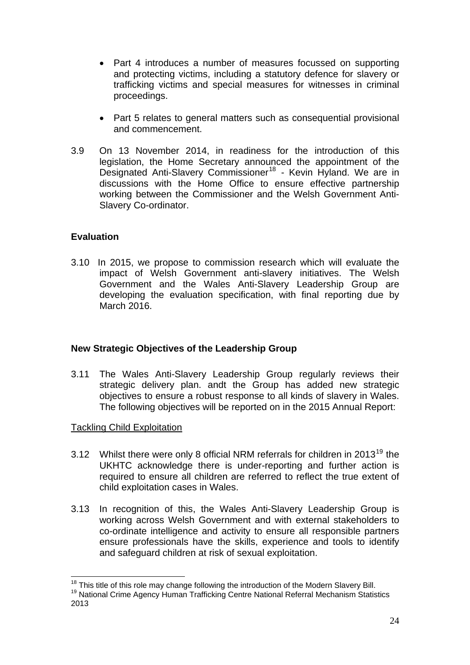- <span id="page-23-0"></span>• Part 4 introduces a number of measures focussed on supporting and protecting victims, including a statutory defence for slavery or trafficking victims and special measures for witnesses in criminal proceedings.
- Part 5 relates to general matters such as consequential provisional and commencement.
- 3.9 On 13 November 2014, in readiness for the introduction of this legislation, the Home Secretary announced the appointment of the Designated Anti-Slavery Commissioner<sup>[18](#page-23-1)</sup> - Kevin Hyland. We are in discussions with the Home Office to ensure effective partnership working between the Commissioner and the Welsh Government Anti-Slavery Co-ordinator.

#### **Evaluation**

3.10 In 2015, we propose to commission research which will evaluate the impact of Welsh Government anti-slavery initiatives. The Welsh Government and the Wales Anti-Slavery Leadership Group are developing the evaluation specification, with final reporting due by March 2016.

#### **New Strategic Objectives of the Leadership Group**

3.11 The Wales Anti-Slavery Leadership Group regularly reviews their strategic delivery plan. andt the Group has added new strategic objectives to ensure a robust response to all kinds of slavery in Wales. The following objectives will be reported on in the 2015 Annual Report:

#### Tackling Child Exploitation

- 3.12 Whilst there were only 8 official NRM referrals for children in 2013<sup>[19](#page-23-2)</sup> the UKHTC acknowledge there is under-reporting and further action is required to ensure all children are referred to reflect the true extent of child exploitation cases in Wales.
- 3.13 In recognition of this, the Wales Anti-Slavery Leadership Group is working across Welsh Government and with external stakeholders to co-ordinate intelligence and activity to ensure all responsible partners ensure professionals have the skills, experience and tools to identify and safeguard children at risk of sexual exploitation.

 $\overline{a}$ <sup>18</sup> This title of this role may change following the introduction of the Modern Slavery Bill.<br><sup>19</sup> National Crime Agency Human Trafficking Centre National Referral Mechanism Statistics

<span id="page-23-2"></span><span id="page-23-1"></span><sup>2013</sup>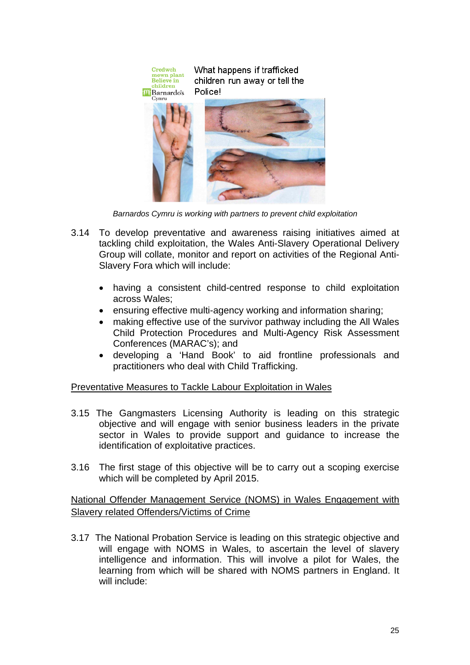

*Barnardos Cymru is working with partners to prevent child exploitation* 

- 3.14 To develop preventative and awareness raising initiatives aimed at tackling child exploitation, the Wales Anti-Slavery Operational Delivery Group will collate, monitor and report on activities of the Regional Anti-Slavery Fora which will include:
	- having a consistent child-centred response to child exploitation across Wales;
	- ensuring effective multi-agency working and information sharing;
	- making effective use of the survivor pathway including the All Wales Child Protection Procedures and Multi-Agency Risk Assessment Conferences (MARAC's); and
	- developing a 'Hand Book' to aid frontline professionals and practitioners who deal with Child Trafficking.

Preventative Measures to Tackle Labour Exploitation in Wales

- 3.15 The Gangmasters Licensing Authority is leading on this strategic objective and will engage with senior business leaders in the private sector in Wales to provide support and guidance to increase the identification of exploitative practices.
- 3.16 The first stage of this objective will be to carry out a scoping exercise which will be completed by April 2015.

National Offender Management Service (NOMS) in Wales Engagement with Slavery related Offenders/Victims of Crime

3.17 The National Probation Service is leading on this strategic objective and will engage with NOMS in Wales, to ascertain the level of slavery intelligence and information. This will involve a pilot for Wales, the learning from which will be shared with NOMS partners in England. It will include: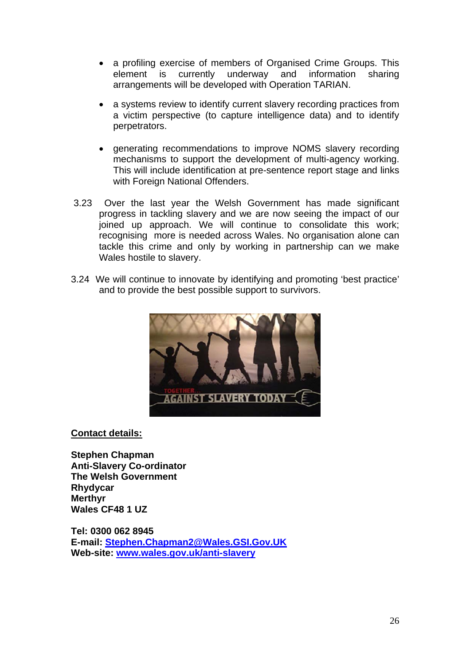- a profiling exercise of members of Organised Crime Groups. This element is currently underway and information sharing arrangements will be developed with Operation TARIAN.
- a systems review to identify current slavery recording practices from a victim perspective (to capture intelligence data) and to identify perpetrators.
- generating recommendations to improve NOMS slavery recording mechanisms to support the development of multi-agency working. This will include identification at pre-sentence report stage and links with Foreign National Offenders.
- 3.23 Over the last year the Welsh Government has made significant progress in tackling slavery and we are now seeing the impact of our joined up approach. We will continue to consolidate this work; recognising more is needed across Wales. No organisation alone can tackle this crime and only by working in partnership can we make Wales hostile to slavery.
- 3.24 We will continue to innovate by identifying and promoting 'best practice' and to provide the best possible support to survivors.



#### **Contact details:**

**Stephen Chapman Anti-Slavery Co-ordinator The Welsh Government Rhydycar Merthyr Wales CF48 1 UZ** 

**Tel: 0300 062 8945 E-mail: [Stephen.Chapman2@Wales.GSI.Gov.UK](mailto:Stephen.Chapman2@Wales.GSI.Gov.UK) Web-site: [www.wales.gov.uk/anti-slavery](http://www.wales.gov.uk/anti-slavery)**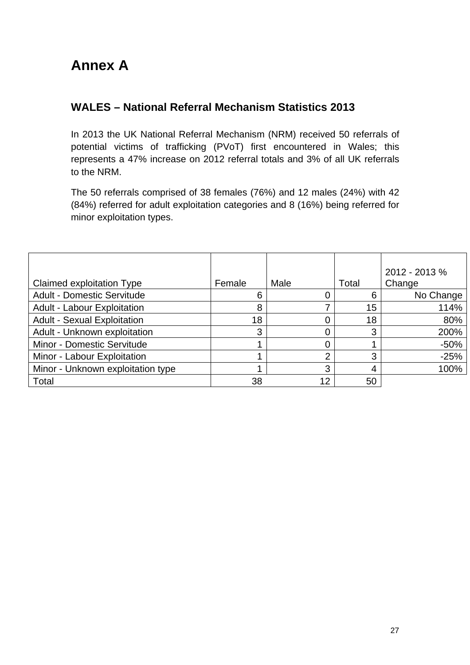# <span id="page-26-0"></span>**Annex A**

### **WALES – National Referral Mechanism Statistics 2013**

In 2013 the UK National Referral Mechanism (NRM) received 50 referrals of potential victims of trafficking (PVoT) first encountered in Wales; this represents a 47% increase on 2012 referral totals and 3% of all UK referrals to the NRM.

The 50 referrals comprised of 38 females (76%) and 12 males (24%) with 42 (84%) referred for adult exploitation categories and 8 (16%) being referred for minor exploitation types.

|                                     |        |      |       | $2012 - 2013$ % |
|-------------------------------------|--------|------|-------|-----------------|
| Claimed exploitation Type           | Female | Male | Total | Change          |
| <b>Adult - Domestic Servitude</b>   | 6      |      | 6     | No Change       |
| <b>Adult - Labour Exploitation</b>  | 8      |      | 15    | 114%            |
| <b>Adult - Sexual Exploitation</b>  | 18     |      | 18    | 80%             |
| <b>Adult - Unknown exploitation</b> | 3      |      | 3     | 200%            |
| Minor - Domestic Servitude          |        |      |       | $-50%$          |
| Minor - Labour Exploitation         |        |      | 3     | $-25%$          |
| Minor - Unknown exploitation type   |        | 3    |       | 100%            |
| Total                               | 38     | 12   | 50    |                 |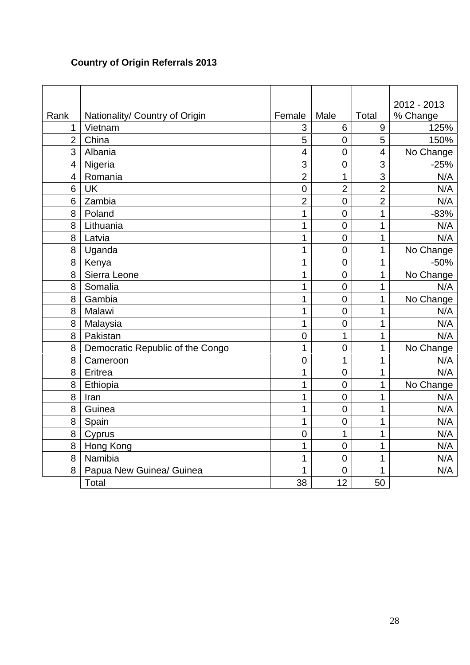## **Country of Origin Referrals 2013**

|                |                                  |                         |                |                          | 2012 - 2013 |
|----------------|----------------------------------|-------------------------|----------------|--------------------------|-------------|
| Rank           | Nationality/ Country of Origin   | Female                  | Male           | <b>Total</b>             | % Change    |
| 1              | Vietnam                          | 3                       | 6              | 9                        | 125%        |
| $\overline{2}$ | China                            | $\overline{5}$          | $\overline{0}$ | $\overline{5}$           | 150%        |
| 3              | Albania                          | $\overline{\mathbf{4}}$ | $\mathbf 0$    | $\overline{\mathcal{A}}$ | No Change   |
| $\overline{4}$ | Nigeria                          | 3                       | $\overline{0}$ | 3                        | $-25%$      |
| $\overline{4}$ | Romania                          | $\overline{2}$          | 1              | 3                        | N/A         |
| 6              | <b>UK</b>                        | $\overline{0}$          | $\overline{2}$ | $\overline{2}$           | N/A         |
| 6              | Zambia                           | $\overline{2}$          | $\mathbf 0$    | $\overline{2}$           | N/A         |
| 8              | Poland                           | 1                       | $\overline{0}$ | 1                        | $-83%$      |
| 8              | Lithuania                        | 1                       | $\mathbf 0$    | 1                        | N/A         |
| 8              | Latvia                           | 1                       | $\mathbf 0$    | 1                        | N/A         |
| 8              | Uganda                           | 1                       | $\overline{0}$ | 1                        | No Change   |
| 8              | Kenya                            | 1                       | $\mathbf 0$    | 1                        | $-50%$      |
| 8              | Sierra Leone                     | 1                       | $\overline{0}$ | 1                        | No Change   |
| 8              | Somalia                          | 1                       | $\mathbf 0$    | 1                        | N/A         |
| 8              | Gambia                           | $\overline{1}$          | $\overline{0}$ | 1                        | No Change   |
| 8              | Malawi                           | 1                       | $\mathbf 0$    | 1                        | N/A         |
| 8              | Malaysia                         | 1                       | $\overline{0}$ | 1                        | N/A         |
| 8              | Pakistan                         | $\overline{0}$          | 1              | 1                        | N/A         |
| 8              | Democratic Republic of the Congo | $\overline{1}$          | $\overline{0}$ | 1                        | No Change   |
| 8              | Cameroon                         | $\overline{0}$          | 1              | 1                        | N/A         |
| 8              | Eritrea                          | 1                       | $\mathbf 0$    | 1                        | N/A         |
| 8              | Ethiopia                         | 1                       | $\overline{0}$ | 1                        | No Change   |
| 8              | Iran                             | 1                       | $\mathbf 0$    | 1                        | N/A         |
| 8              | Guinea                           | 1                       | $\overline{0}$ | 1                        | N/A         |
| 8              | Spain                            | 1                       | $\overline{0}$ | 1                        | N/A         |
| 8              | Cyprus                           | $\overline{0}$          | 1              | 1                        | N/A         |
| 8              | Hong Kong                        | 1                       | $\overline{0}$ | 1                        | N/A         |
| 8              | Namibia                          | 1                       | $\overline{0}$ | 1                        | N/A         |
| 8              | Papua New Guinea/ Guinea         | 1                       | $\overline{0}$ | 1                        | N/A         |
|                | Total                            | 38                      | 12             | 50                       |             |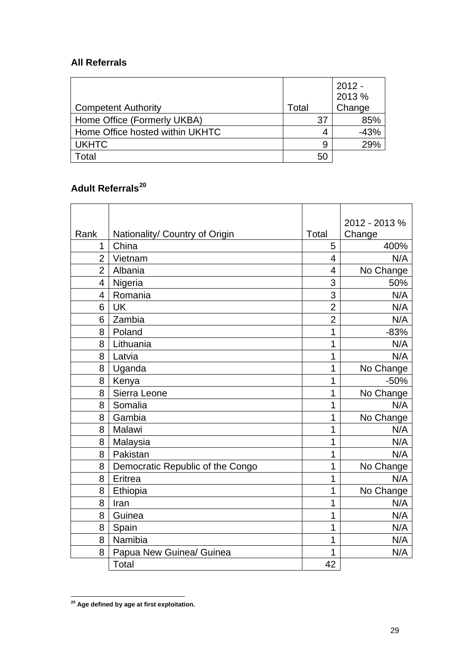### **All Referrals**

|                                 |       |    | $2012 -$<br>2013 % |
|---------------------------------|-------|----|--------------------|
| <b>Competent Authority</b>      | Total |    | Change             |
| Home Office (Formerly UKBA)     |       | 37 | 85%                |
| Home Office hosted within UKHTC |       | 4  | -43%               |
| <b>UKHTC</b>                    |       | 9  | 29%                |
| Total                           |       | 50 |                    |

# **Adult Referrals[20](#page-28-0)**

|                |                                  |                | 2012 - 2013 % |
|----------------|----------------------------------|----------------|---------------|
| Rank           | Nationality/ Country of Origin   | Total          | Change        |
| 1              | China                            | 5              | 400%          |
| $\overline{2}$ | Vietnam                          | $\overline{4}$ | N/A           |
| $\overline{2}$ | Albania                          | 4              | No Change     |
| 4              | Nigeria                          | 3              | 50%           |
| $\overline{4}$ | Romania                          | 3              | N/A           |
| 6              | <b>UK</b>                        | $\overline{2}$ | N/A           |
| 6              | Zambia                           | $\overline{2}$ | N/A           |
| 8              | Poland                           | 1              | $-83%$        |
| 8              | Lithuania                        | 1              | N/A           |
| 8              | Latvia                           | 1              | N/A           |
| 8              | Uganda                           | 1              | No Change     |
| 8              | Kenya                            | 1              | $-50%$        |
| 8              | Sierra Leone                     | 1              | No Change     |
| 8              | Somalia                          | 1              | N/A           |
| 8              | Gambia                           | 1              | No Change     |
| 8              | Malawi                           | 1              | N/A           |
| 8              | Malaysia                         | 1              | N/A           |
| 8              | Pakistan                         | 1              | N/A           |
| 8              | Democratic Republic of the Congo | 1              | No Change     |
| 8              | Eritrea                          | 1              | N/A           |
| 8              | Ethiopia                         | 1              | No Change     |
| 8              | Iran                             | 1              | N/A           |
| 8              | Guinea                           | 1              | N/A           |
| 8              | Spain                            | 1              | N/A           |
| 8              | Namibia                          | 1              | N/A           |
| 8              | Papua New Guinea/ Guinea         | 1              | N/A           |
|                | Total                            | 42             |               |

<span id="page-28-0"></span> $\overline{a}$ **20 Age defined by age at first exploitation.**